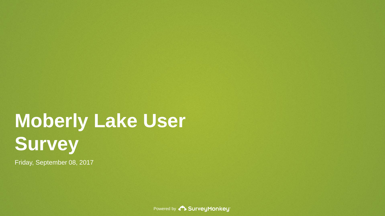# **Moberly Lake User Survey**

Friday, September 08, 2017

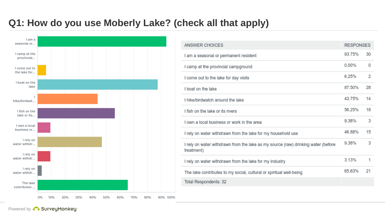# **Q1: How do you use Moberly Lake? (check all that apply)**



| ANSWER CHOICES                                                                                  | <b>RESPONSES</b> |                |
|-------------------------------------------------------------------------------------------------|------------------|----------------|
| I am a seasonal or permanent resident                                                           | 93.75%           | 30             |
| I camp at the provincial campground                                                             | 0.00%            | 0              |
| I come out to the lake for day visits                                                           | 6.25%            | $\overline{2}$ |
| I boat on the lake                                                                              | 87.50%           | 28             |
| I hike/birdwatch around the lake                                                                | 43.75%           | 14             |
| I fish on the lake or its rivers                                                                | 56.25%           | 18             |
| I own a local business or work in the area                                                      | 9.38%            | 3              |
| I rely on water withdrawn from the lake for my household use                                    | 46.88%           | 15             |
| I rely on water withdrawn from the lake as my source (raw) drinking water (before<br>treatment) | 9.38%            | 3              |
| I rely on water withdrawn from the lake for my industry                                         | 3.13%            | 1              |
| The lake contributes to my social, cultural or spiritual well-being                             | 65.63%           | 21             |
| Total Respondents: 32                                                                           |                  |                |
|                                                                                                 |                  |                |

Powered by **CD** SurveyMonkey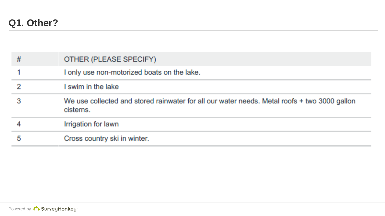| # | OTHER (PLEASE SPECIFY)                                                                                    |
|---|-----------------------------------------------------------------------------------------------------------|
|   | I only use non-motorized boats on the lake.                                                               |
|   | I swim in the lake                                                                                        |
|   | We use collected and stored rainwater for all our water needs. Metal roofs + two 3000 gallon<br>cisterns. |
|   | Irrigation for lawn                                                                                       |
| 5 | Cross country ski in winter.                                                                              |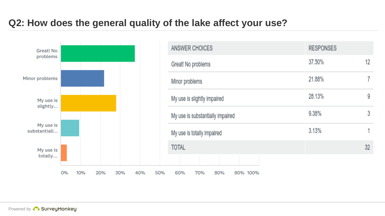# **Q2: How does the general quality of the lake affect your use?**

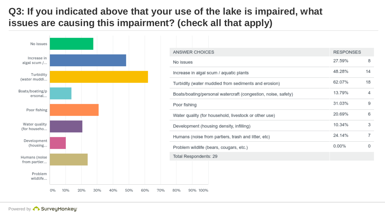# **Q3: If you indicated above that your use of the lake is impaired, what issues are causing this impairment? (check all that apply)**



| ANSWER CHOICES                                                | <b>RESPONSES</b> |    |
|---------------------------------------------------------------|------------------|----|
| No issues                                                     | 27.59%           | 8  |
| Increase in algal scum / aquatic plants                       | 48.28%           | 14 |
| Turbidity (water muddied from sediments and erosion)          | 62.07%           | 18 |
| Boats/boating/personal watercraft (congestion, noise, safety) | 13.79%           | 4  |
| Poor fishing                                                  | 31.03%           | 9  |
| Water quality (for household, livestock or other use)         | 20.69%           | 6  |
| Development (housing density, infilling)                      | 10.34%           | 3  |
| Humans (noise from partiers, trash and litter, etc)           | 24.14%           | 7  |
| Problem wildlife (bears, cougars, etc.)                       | $0.00\%$         | 0  |
| Total Respondents: 29                                         |                  |    |
|                                                               |                  |    |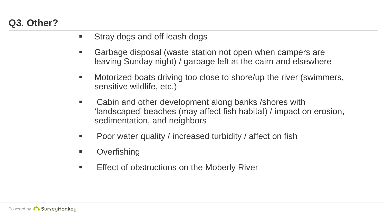# **Q3. Other?**

- **Stray dogs and off leash dogs**
- Garbage disposal (waste station not open when campers are leaving Sunday night) / garbage left at the cairn and elsewhere
- **Motorized boats driving too close to shore/up the river (swimmers,** sensitive wildlife, etc.)
- Cabin and other development along banks / shores with 'landscaped' beaches (may affect fish habitat) / impact on erosion, sedimentation, and neighbors
- Poor water quality / increased turbidity / affect on fish
- **Diverfishing**
- **Effect of obstructions on the Moberly River**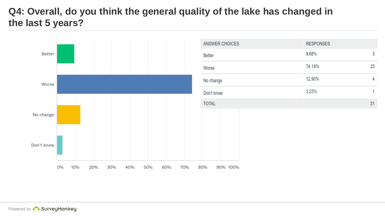# **Q4: Overall, do you think the general quality of the lake has changed in the last 5 years?**

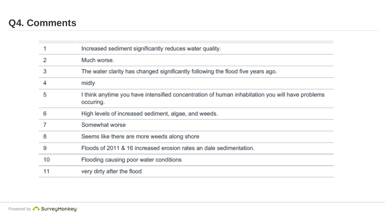# **Q4. Comments**

|    | Increased sediment significantly reduces water quality.                                                      |
|----|--------------------------------------------------------------------------------------------------------------|
| 2  | Much worse.                                                                                                  |
| 3  | The water clarity has changed significantly following the flood five years ago.                              |
|    | midly                                                                                                        |
| 5  | I think anytime you have intensified concentration of human inhabitation you will have problems<br>occuring. |
| 6  | High levels of increased sediment, algae, and weeds.                                                         |
|    | Somewhat worse                                                                                               |
| 8  | Seems like there are more weeds along shore                                                                  |
| 9  | Floods of 2011 & 16 increased erosion rates an dale sedimentation.                                           |
| 10 | Flooding causing poor water conditions                                                                       |
| 11 | very dirty after the flood                                                                                   |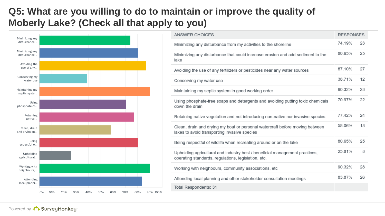# **Q5: What are you willing to do to maintain or improve the quality of Moberly Lake? (Check all that apply to you)**



| ANSWER CHOICES                                                                                                                     | <b>RESPONSES</b> |    |
|------------------------------------------------------------------------------------------------------------------------------------|------------------|----|
| Minimizing any disturbance from my activities to the shoreline                                                                     | 74.19%           | 23 |
| Minimizing any disturbance that could increase erosion and add sediment to the<br>lake                                             | 80.65%           | 25 |
| Avoiding the use of any fertilizers or pesticides near any water sources                                                           | 87.10%           | 27 |
| Conserving my water use                                                                                                            | 38.71%           | 12 |
| Maintaining my septic system in good working order                                                                                 | 90.32%           | 28 |
| Using phosphate-free soaps and detergents and avoiding putting toxic chemicals<br>down the drain                                   | 70.97%           | 22 |
| Retaining native vegetation and not introducing non-native nor invasive species                                                    | 77.42%           | 24 |
| Clean, drain and drying my boat or personal watercraft before moving between<br>lakes to avoid transporting invasive species       | 58.06%           | 18 |
| Being respectful of wildlife when recreating around or on the lake                                                                 | 80.65%           | 25 |
| Upholding agricultural and industry best / beneficial management practices,<br>operating standards, regulations, legislation, etc. | 25.81%           | 8  |
| Working with neighbours, community associations, etc.                                                                              | 90.32%           | 28 |
| Attending local planning and other stakeholder consultation meetings                                                               | 83.87%           | 26 |
| Total Respondents: 31                                                                                                              |                  |    |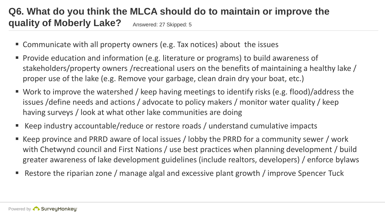## **Q6. What do you think the MLCA should do to maintain or improve the quality of Moberly Lake?** Answered: 27 Skipped: 5

- Communicate with all property owners (e.g. Tax notices) about the issues
- Provide education and information (e.g. literature or programs) to build awareness of stakeholders/property owners /recreational users on the benefits of maintaining a healthy lake / proper use of the lake (e.g. Remove your garbage, clean drain dry your boat, etc.)
- Work to improve the watershed / keep having meetings to identify risks (e.g. flood)/address the issues /define needs and actions / advocate to policy makers / monitor water quality / keep having surveys / look at what other lake communities are doing
- Keep industry accountable/reduce or restore roads / understand cumulative impacts
- Keep province and PRRD aware of local issues / lobby the PRRD for a community sewer / work with Chetwynd council and First Nations / use best practices when planning development / build greater awareness of lake development guidelines (include realtors, developers) / enforce bylaws
- Restore the riparian zone / manage algal and excessive plant growth / improve Spencer Tuck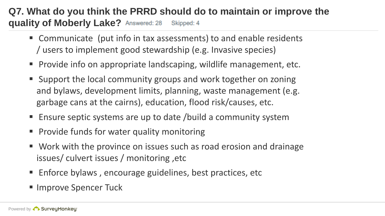## **Q7. What do you think the PRRD should do to maintain or improve the quality of Moberly Lake?** Answered: 28 Skipped: 4

- Communicate (put info in tax assessments) to and enable residents / users to implement good stewardship (e.g. Invasive species)
- **Provide info on appropriate landscaping, wildlife management, etc.**
- Support the local community groups and work together on zoning and bylaws, development limits, planning, waste management (e.g. garbage cans at the cairns), education, flood risk/causes, etc.
- Ensure septic systems are up to date /build a community system
- **Provide funds for water quality monitoring**
- Work with the province on issues such as road erosion and drainage issues/ culvert issues / monitoring ,etc
- **Enforce bylaws, encourage guidelines, best practices, etc**
- **Improve Spencer Tuck**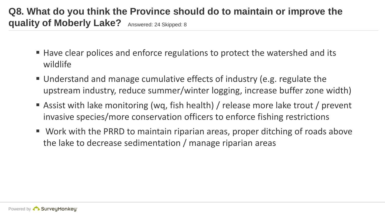# **Q8. What do you think the Province should do to maintain or improve the quality of Moberly Lake?** Answered: 24 Skipped: 8

- Have clear polices and enforce regulations to protect the watershed and its wildlife
- Understand and manage cumulative effects of industry (e.g. regulate the upstream industry, reduce summer/winter logging, increase buffer zone width)
- Assist with lake monitoring (wq, fish health) / release more lake trout / prevent invasive species/more conservation officers to enforce fishing restrictions
- Work with the PRRD to maintain riparian areas, proper ditching of roads above the lake to decrease sedimentation / manage riparian areas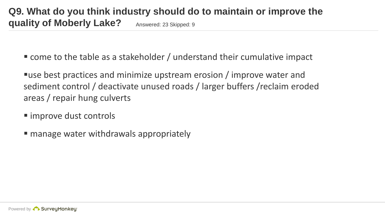come to the table as a stakeholder / understand their cumulative impact

use best practices and minimize upstream erosion / improve water and sediment control / deactivate unused roads / larger buffers /reclaim eroded areas / repair hung culverts

- improve dust controls
- manage water withdrawals appropriately